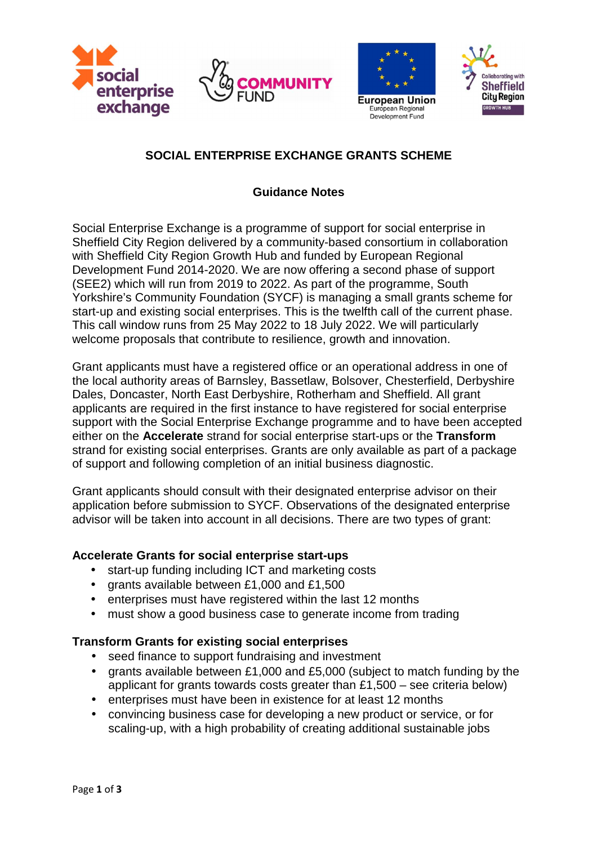







# **SOCIAL ENTERPRISE EXCHANGE GRANTS SCHEME**

## **Guidance Notes**

Social Enterprise Exchange is a programme of support for social enterprise in Sheffield City Region delivered by a community-based consortium in collaboration with Sheffield City Region Growth Hub and funded by European Regional Development Fund 2014-2020. We are now offering a second phase of support (SEE2) which will run from 2019 to 2022. As part of the programme, South Yorkshire's Community Foundation (SYCF) is managing a small grants scheme for start-up and existing social enterprises. This is the twelfth call of the current phase. This call window runs from 25 May 2022 to 18 July 2022. We will particularly welcome proposals that contribute to resilience, growth and innovation.

Grant applicants must have a registered office or an operational address in one of the local authority areas of Barnsley, Bassetlaw, Bolsover, Chesterfield, Derbyshire Dales, Doncaster, North East Derbyshire, Rotherham and Sheffield. All grant applicants are required in the first instance to have registered for social enterprise support with the Social Enterprise Exchange programme and to have been accepted either on the **Accelerate** strand for social enterprise start-ups or the **Transform** strand for existing social enterprises. Grants are only available as part of a package of support and following completion of an initial business diagnostic.

Grant applicants should consult with their designated enterprise advisor on their application before submission to SYCF. Observations of the designated enterprise advisor will be taken into account in all decisions. There are two types of grant:

### **Accelerate Grants for social enterprise start-ups**

- start-up funding including ICT and marketing costs
- grants available between £1,000 and £1,500
- enterprises must have registered within the last 12 months
- must show a good business case to generate income from trading

# **Transform Grants for existing social enterprises**

- seed finance to support fundraising and investment
- grants available between £1,000 and £5,000 (subject to match funding by the applicant for grants towards costs greater than £1,500 – see criteria below)
- enterprises must have been in existence for at least 12 months
- convincing business case for developing a new product or service, or for scaling-up, with a high probability of creating additional sustainable jobs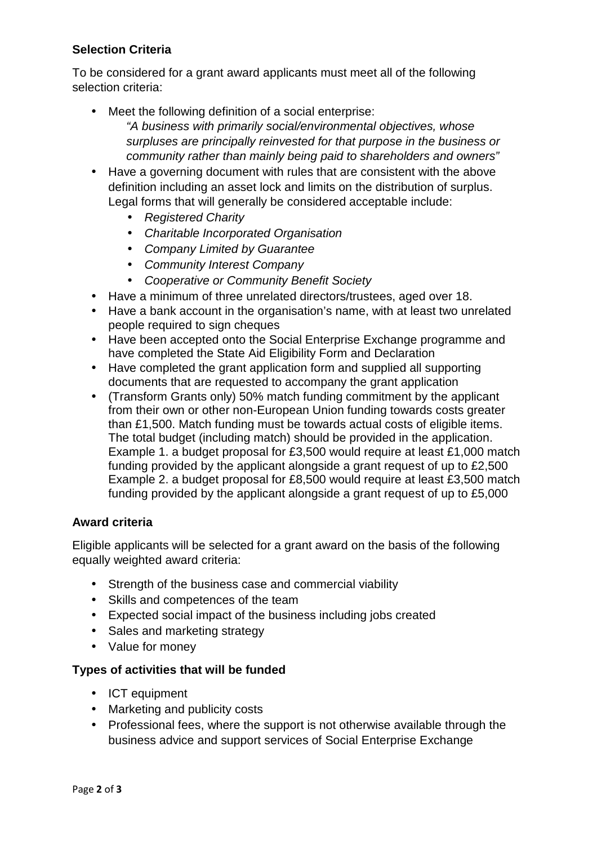### **Selection Criteria**

To be considered for a grant award applicants must meet all of the following selection criteria:

- Meet the following definition of a social enterprise: "A business with primarily social/environmental objectives, whose surpluses are principally reinvested for that purpose in the business or community rather than mainly being paid to shareholders and owners"
- Have a governing document with rules that are consistent with the above definition including an asset lock and limits on the distribution of surplus. Legal forms that will generally be considered acceptable include:
	- Registered Charity
	- Charitable Incorporated Organisation
	- Company Limited by Guarantee
	- Community Interest Company
	- Cooperative or Community Benefit Society
- Have a minimum of three unrelated directors/trustees, aged over 18.
- Have a bank account in the organisation's name, with at least two unrelated people required to sign cheques
- Have been accepted onto the Social Enterprise Exchange programme and have completed the State Aid Eligibility Form and Declaration
- Have completed the grant application form and supplied all supporting documents that are requested to accompany the grant application
- (Transform Grants only) 50% match funding commitment by the applicant from their own or other non-European Union funding towards costs greater than £1,500. Match funding must be towards actual costs of eligible items. The total budget (including match) should be provided in the application. Example 1. a budget proposal for £3,500 would require at least £1,000 match funding provided by the applicant alongside a grant request of up to £2,500 Example 2. a budget proposal for £8,500 would require at least £3,500 match funding provided by the applicant alongside a grant request of up to £5,000

### **Award criteria**

Eligible applicants will be selected for a grant award on the basis of the following equally weighted award criteria:

- Strength of the business case and commercial viability
- Skills and competences of the team
- Expected social impact of the business including jobs created
- Sales and marketing strategy
- Value for money

### **Types of activities that will be funded**

- ICT equipment
- Marketing and publicity costs
- Professional fees, where the support is not otherwise available through the business advice and support services of Social Enterprise Exchange